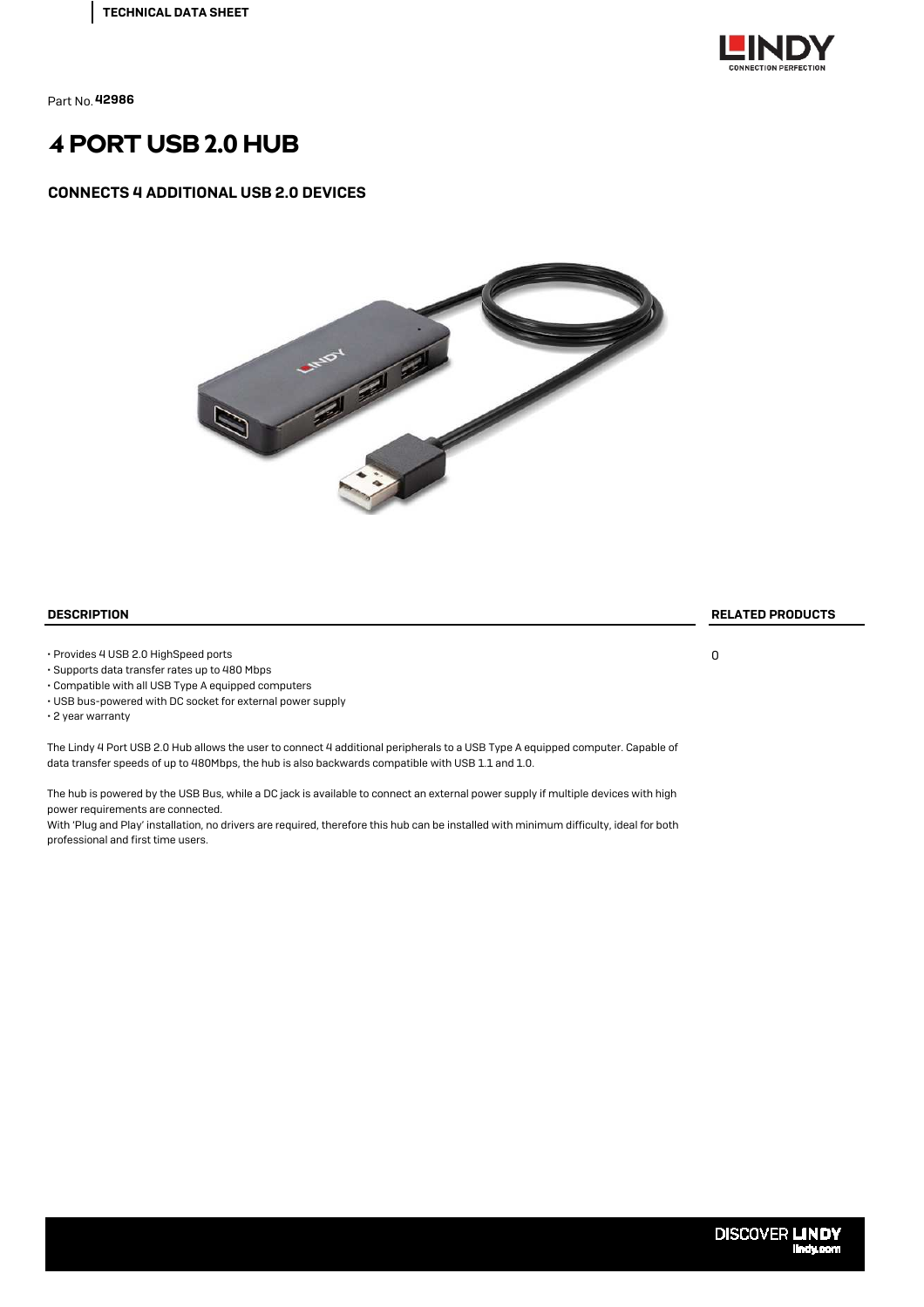

# 4 PORT USB 2.0 HUB

#### CONNECTS 4 ADDITIONAL USB 2.0 DEVICES



• Provides 4 USB 2.0 HighSpeed ports

• Supports data transfer rates up to 480 Mbps

• Compatible with all USB Type A equipped computers

• USB bus-powered with DC socket for external power supply

• 2 year warranty

The Lindy 4 Port USB 2.0 Hub allows the user to connect 4 additional peripherals to a USB Type A equipped computer. Capable of data transfer speeds of up to 480Mbps, the hub is also backwards compatible with USB 1.1 and 1.0.

The hub is powered by the USB Bus, while a DC jack is available to connect an external power supply if multiple devices with high power requirements are connected.

With 'Plug and Play' installation, no drivers are required, therefore this hub can be installed with minimum difficulty, ideal for both professional and first time users.

DESCRIPTION RELATED PRODUCTS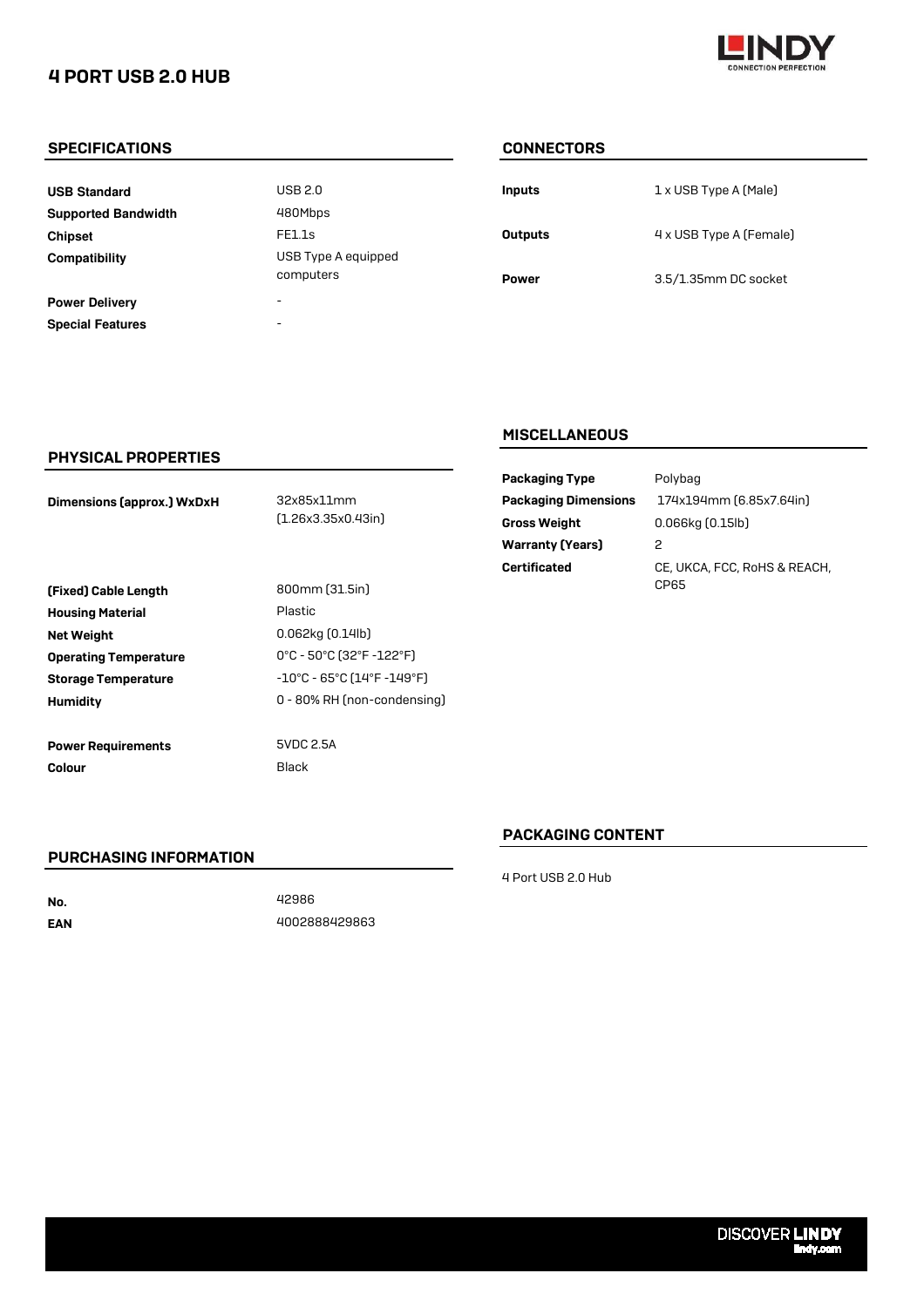## 4 PORT USB 2.0 HUB



#### SPECIFICATIONS CONNECTORS

**USB Standard Supported Bandwidth Chipset Compatibility**

**Power Delivery Special Features**  $USB 2.0$ - - 480Mbps FE1.1s USB Type A equipped computers

| <b>Inputs</b>  | 1 x USB Type A (Male)   |
|----------------|-------------------------|
| <b>Outputs</b> | 4 x USB Type A (Female) |
| Power          | 3.5/1.35mm DC socket    |

#### PHYSICAL PROPERTIES

Dimensions (approx.) WxDxH

32x85x11mm (1.26x3.35x0.43in)

| (Fixed) Cable Length         | 800mm (3                        |
|------------------------------|---------------------------------|
| <b>Housing Material</b>      | Plastic                         |
| <b>Net Weight</b>            | $0.062$ kg $[0]$                |
| <b>Operating Temperature</b> | $0^{\circ}$ C - 50 $^{\circ}$ C |
| <b>Storage Temperature</b>   | $-10^{\circ}$ C - 65            |
| Humidity                     | $0 - 80%$ RH                    |
|                              |                                 |
| <b>Power Requirements</b>    | <b>5VDC 2.5A</b>                |

ıstic 80% RH (non-condensing) 0.062kg (0.14lb) : - 50°C (32°F -122°F) )°C - 65°C (14°F -149°F)

Colour Black

### **MISCELLANEOUS**

|                 | <b>Packaging Type</b>       | Polyb  |
|-----------------|-----------------------------|--------|
| x85x11mm        | <b>Packaging Dimensions</b> | 174x   |
| 26x3.35x0.43in) | <b>Gross Weight</b>         | 0.066  |
|                 | <b>Warranty (Years)</b>     | 2      |
|                 | <b>Certificated</b>         | CE. UI |
| 0mm (31.5in)    |                             | CP65   |

E, UKCA, FCC, RoHS & REACH, 174x194mm (6.85x7.64in) dybag 066kg (0.15lb)

### PACKAGING CONTENT

#### PURCHASING INFORMATION

No. EAN 4002888429863 42986

4 Port USB 2.0 Hub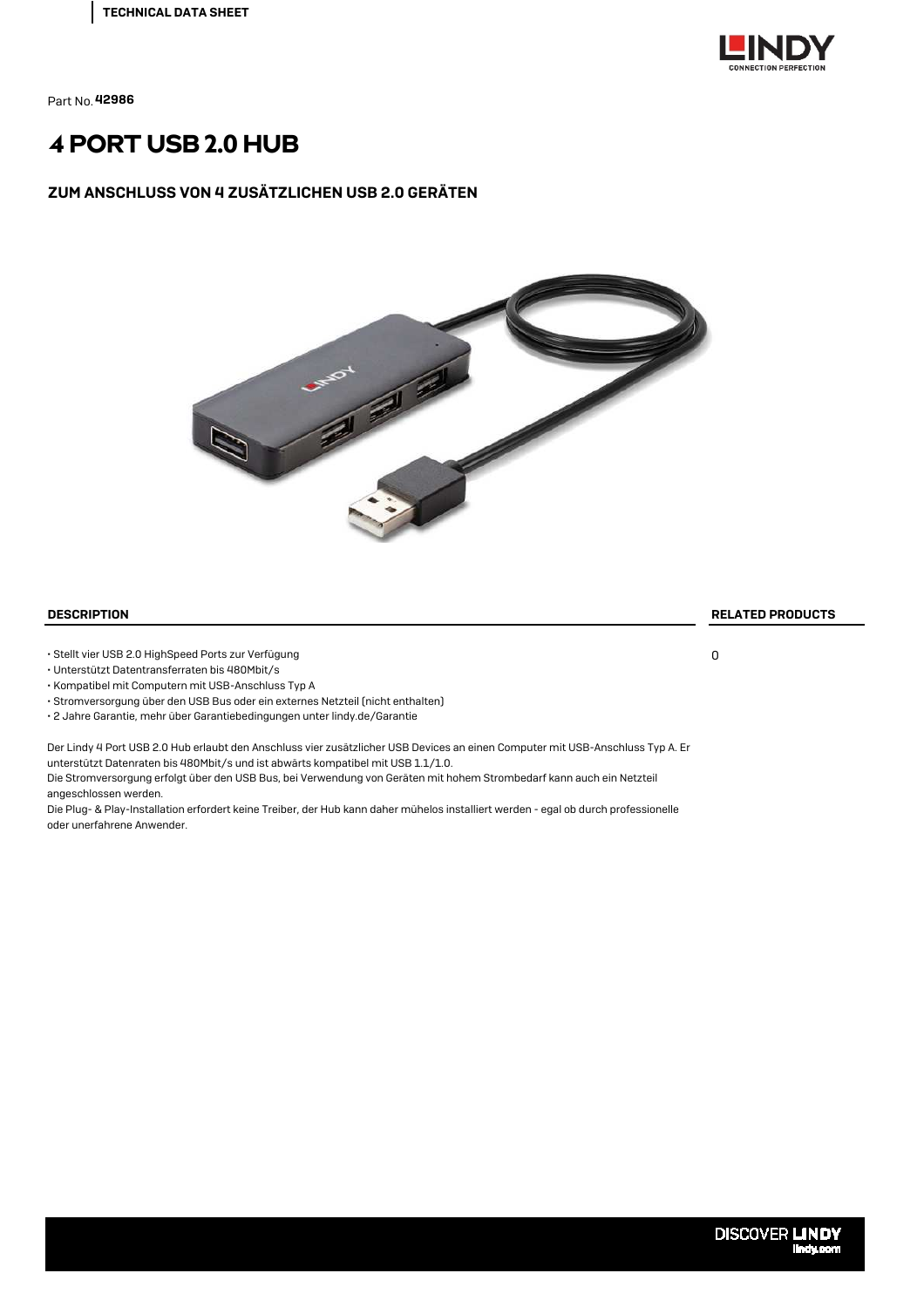

# 4 PORT USB 2.0 HUB

#### ZUM ANSCHLUSS VON 4 ZUSÄTZLICHEN USB 2.0 GERÄTEN



#### DESCRIPTION RELATED PRODUCTS

• Stellt vier USB 2.0 HighSpeed Ports zur Verfügung

• Unterstützt Datentransferraten bis 480Mbit/s

• Kompatibel mit Computern mit USB-Anschluss Typ A

• Stromversorgung über den USB Bus oder ein externes Netzteil (nicht enthalten)

• 2 Jahre Garantie, mehr über Garantiebedingungen unter lindy.de/Garantie

Der Lindy 4 Port USB 2.0 Hub erlaubt den Anschluss vier zusätzlicher USB Devices an einen Computer mit USB-Anschluss Typ A. Er unterstützt Datenraten bis 480Mbit/s und ist abwärts kompatibel mit USB 1.1/1.0. Die Stromversorgung erfolgt über den USB Bus, bei Verwendung von Geräten mit hohem Strombedarf kann auch ein Netzteil

angeschlossen werden. Die Plug- & Play-Installation erfordert keine Treiber, der Hub kann daher mühelos installiert werden - egal ob durch professionelle oder unerfahrene Anwender.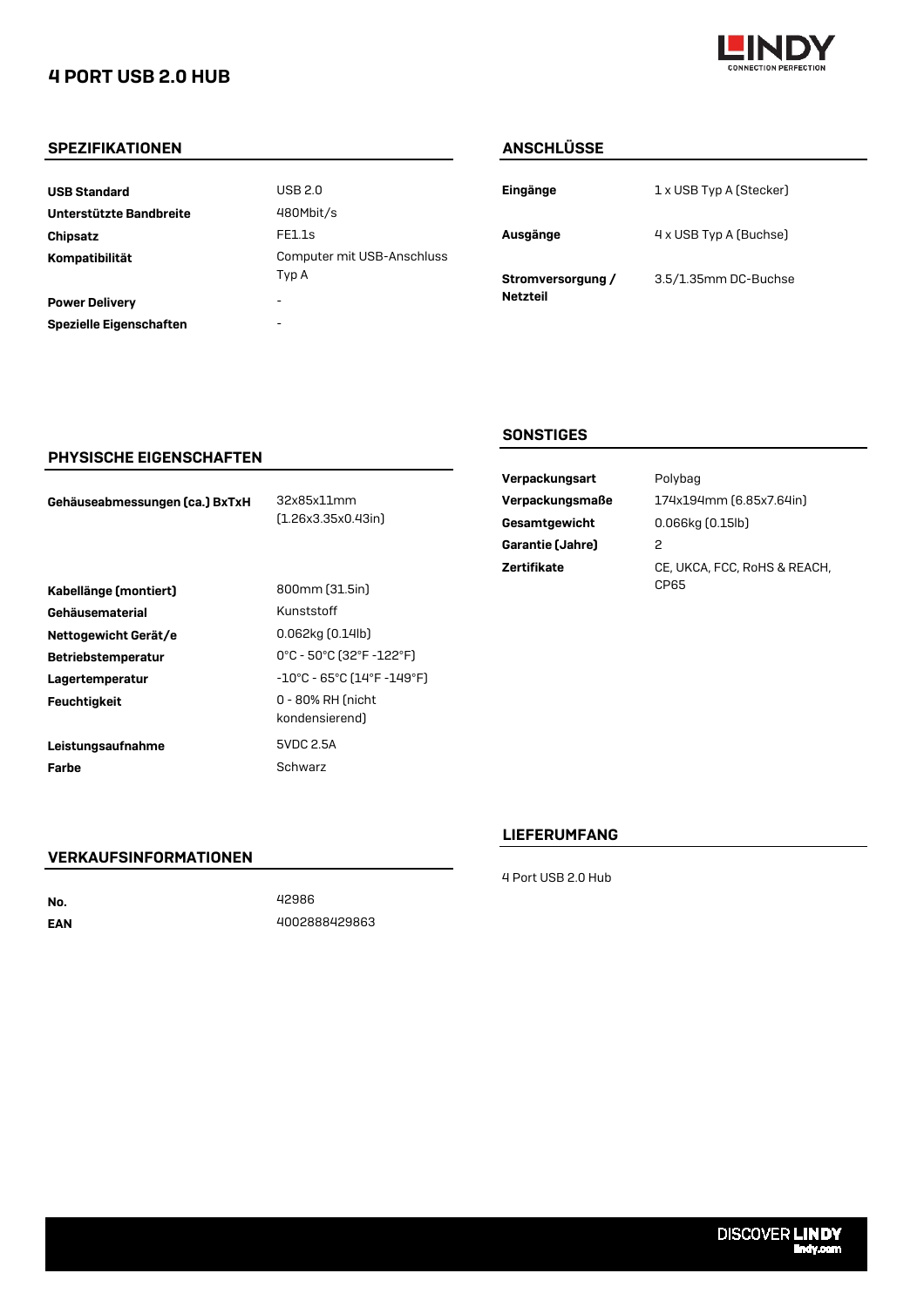## 4 PORT USB 2.0 HUB



#### SPEZIFIKATIONEN ANSCHLÜSSE

| <b>USB Standard</b>     | USB 2.0                             | Eingänge          | 1 x USB Typ A (Stecker) |
|-------------------------|-------------------------------------|-------------------|-------------------------|
| Unterstützte Bandbreite | 480Mbit/s                           |                   |                         |
| Chipsatz                | FE1.1s                              | Ausgänge          | 4 x USB Typ A (Buchse)  |
| Kompatibilität          | Computer mit USB-Anschluss<br>Typ A | Stromversorgung / | 3.5/1.35mm DC-Buchs     |
| <b>Power Delivery</b>   | $\overline{\phantom{a}}$            | <b>Netzteil</b>   |                         |
| Spezielle Eigenschaften | $\overline{\phantom{a}}$            |                   |                         |
|                         |                                     |                   |                         |

| Eingänge                             | 1 x USB Typ A (Stecker) |
|--------------------------------------|-------------------------|
| Ausgänge                             | 4 x USB Typ A (Buchse)  |
| Stromversorgung /<br><b>Netzteil</b> | 3.5/1.35mm DC-Buchse    |

#### PHYSISCHE EIGENSCHAFTEN

| Gehäuseabmessungen (ca.) BxTxH |  |
|--------------------------------|--|
|--------------------------------|--|

32x85x11mm (1.26x3.35x0.43in)

| Kabellänge (montiert)     | 800mm [31.5in]                     |
|---------------------------|------------------------------------|
| Gehäusematerial           | Kunststoff                         |
| Nettogewicht Gerät/e      | 0.062kg (0.14lb)                   |
| <b>Betriebstemperatur</b> | 0°C - 50°C (32°F                   |
| Lagertemperatur           | -10°C - 65°C (14'                  |
| <b>Feuchtigkeit</b>       | 0 - 80% RH (nich<br>kondensierend) |
| Leistungsaufnahme         | 5VDC 2.5A                          |
| Farbe                     | Schwarz                            |

Kunststoff 0.062kg (0.14lb) -10°C - 65°C (14°F -149°F) 0 - 80% RH (nicht kondensierend) 5VDC 2.5A Schwarz Betriebstemperatur 0°C - 50°C (32°F -122°F)

#### **SONSTIGES**

| Verpackungsart     | P |
|--------------------|---|
| Verpackungsmaße    | 1 |
| Gesamtgewicht      | 0 |
| Garantie (Jahre)   | 2 |
| <b>Zertifikate</b> | C |
|                    |   |

Polybag 174x194mm (6.85x7.64in)  $0.066$ kg  $(0.15$ lb) CE, UKCA, FCC, RoHS & REACH, CP65

### LIEFERUMFANG

VERKAUFSINFORMATIONEN

No. EAN 42986 4002888429863 4 Port USB 2.0 Hub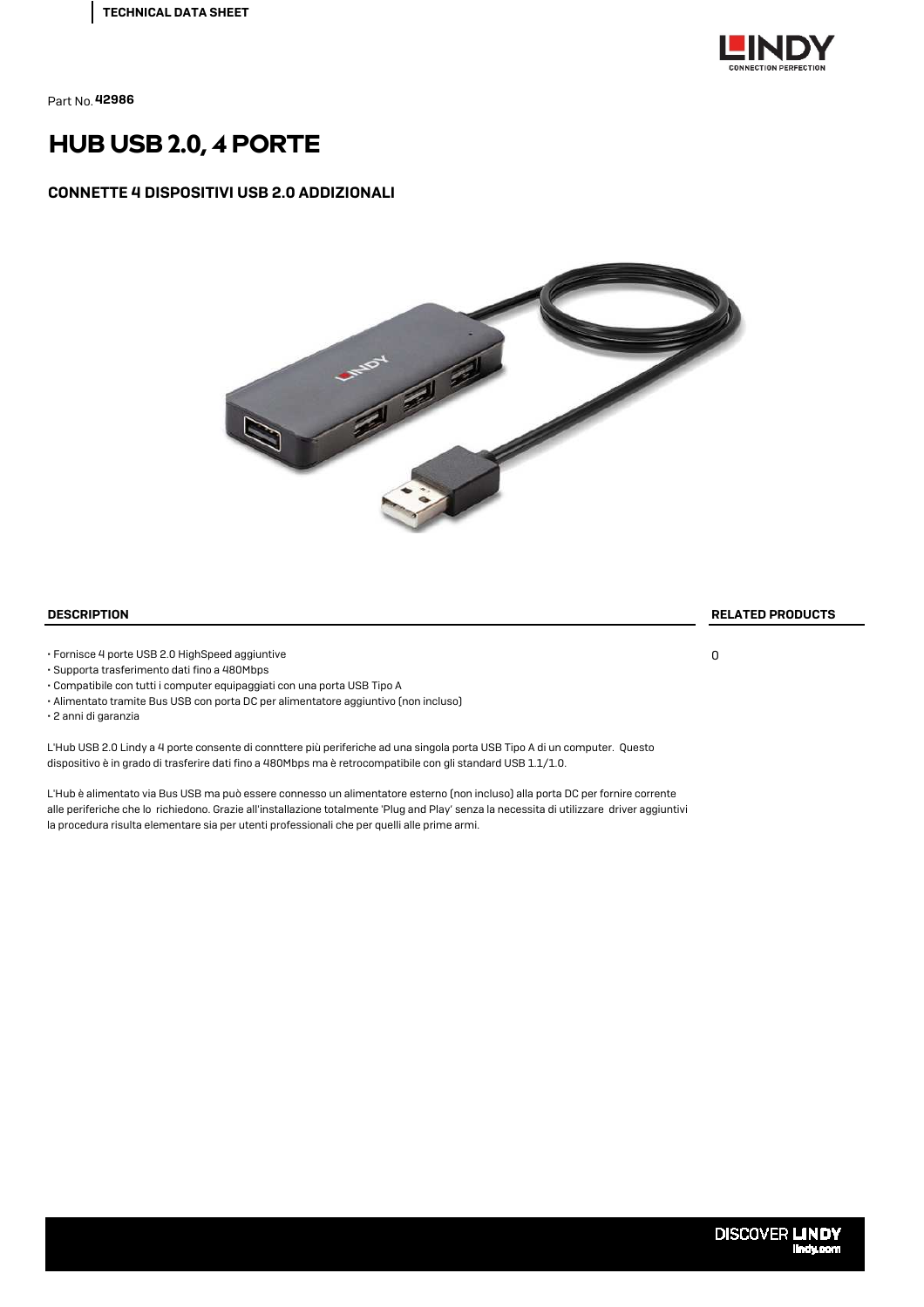

## HUB USB 2.0, 4 PORTE

#### CONNETTE 4 DISPOSITIVI USB 2.0 ADDIZIONALI



• Fornisce 4 porte USB 2.0 HighSpeed aggiuntive

- Supporta trasferimento dati fino a 480Mbps
- Compatibile con tutti i computer equipaggiati con una porta USB Tipo A
- Alimentato tramite Bus USB con porta DC per alimentatore aggiuntivo (non incluso)
- 2 anni di garanzia

L'Hub USB 2.0 Lindy a 4 porte consente di connttere più periferiche ad una singola porta USB Tipo A di un computer. Questo dispositivo è in grado di trasferire dati fino a 480Mbps ma è retrocompatibile con gli standard USB 1.1/1.0.

L'Hub è alimentato via Bus USB ma può essere connesso un alimentatore esterno (non incluso) alla porta DC per fornire corrente alle periferiche che lo richiedono. Grazie all'installazione totalmente 'Plug and Play' senza la necessita di utilizzare driver aggiuntivi la procedura risulta elementare sia per utenti professionali che per quelli alle prime armi.

DESCRIPTION RELATED PRODUCTS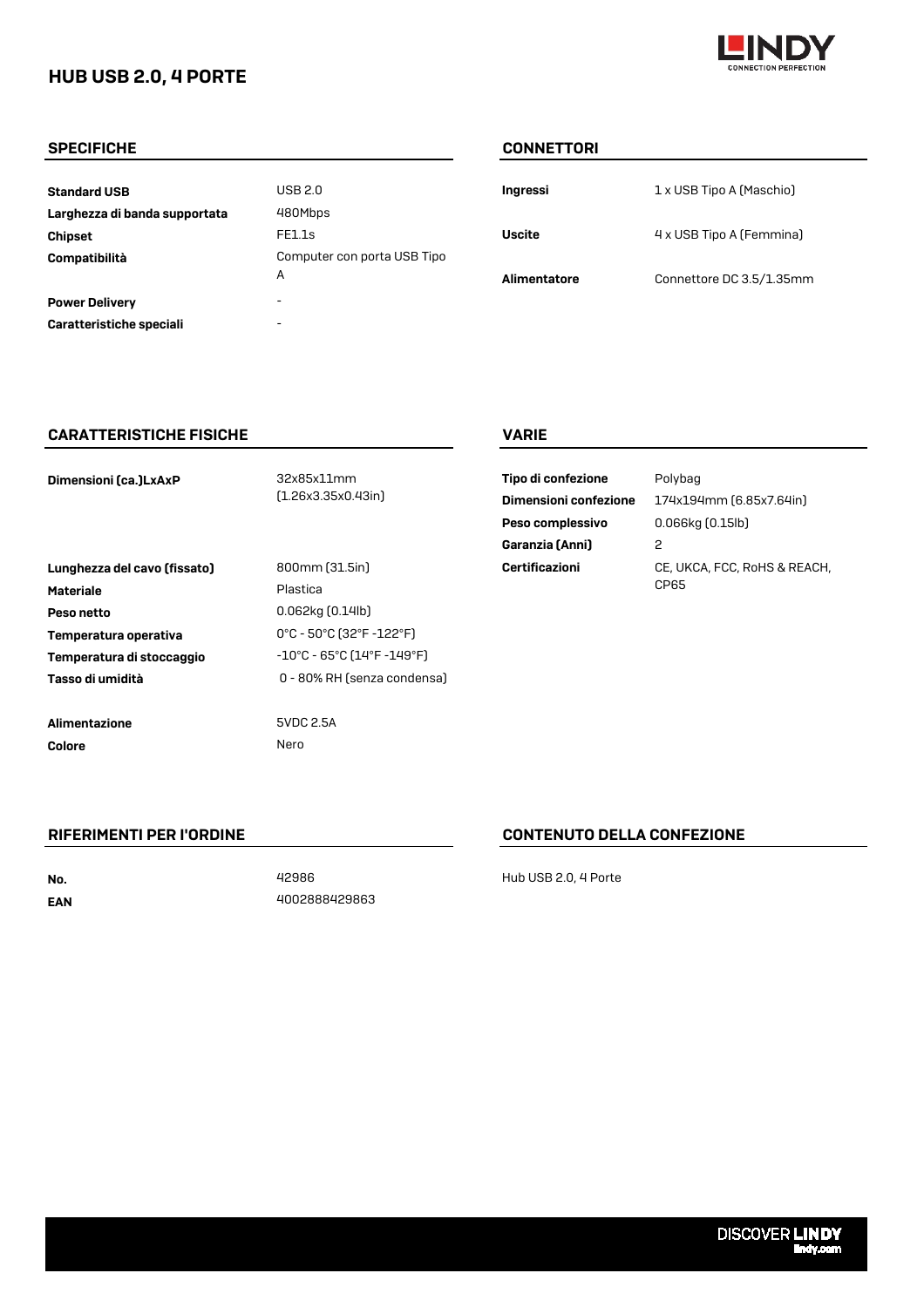## HUB USB 2.0, 4 PORTE



#### SPECIFICHE CONNETTORI

| <b>Standard USB</b>           | USB 2.0                     | Ingressi      | 1 x USB Tipo A (Maschio) |
|-------------------------------|-----------------------------|---------------|--------------------------|
| Larghezza di banda supportata | 480Mbps                     |               |                          |
| <b>Chipset</b>                | FE1.1s                      | <b>Uscite</b> | 4 x USB Tipo A (Femmina) |
| Compatibilità                 | Computer con porta USB Tipo |               |                          |
|                               | A                           | Alimentatore  | Connettore DC 3.5/1.35m  |
| <b>Power Delivery</b>         | ۰                           |               |                          |
| Caratteristiche speciali      | -                           |               |                          |
|                               |                             |               |                          |

| Ingressi            | 1 x USB Tipo A (Maschio) |
|---------------------|--------------------------|
| Uscite              | 4 x USB Tipo A (Femmina) |
| <b>Alimentatore</b> | Connettore DC 3.5/1.35mm |

#### CARATTERISTICHE FISICHE VARIE

| Dimensioni (ca.)LxAxP        | 32x85x11mm<br>[1.26x3.35x0.43in]                                      | Tipo di confezione<br>Dimensioni confezione<br>Peso complessivo<br>Garanzia (Anni) | Polybag<br>174x194mm (6.85x7.64in)<br>$0.066$ kg $(0.15$ lb $)$<br>2 |
|------------------------------|-----------------------------------------------------------------------|------------------------------------------------------------------------------------|----------------------------------------------------------------------|
| Lunghezza del cavo (fissato) | 800mm [31.5in]                                                        | Certificazioni                                                                     | CE, UKCA, FCC, RoHS & REACH,                                         |
| <b>Materiale</b>             | Plastica                                                              |                                                                                    | CP65                                                                 |
| Peso netto                   | $0.062$ kg $[0.14$ lb $]$                                             |                                                                                    |                                                                      |
| Temperatura operativa        | $0^{\circ}$ C - 50 $^{\circ}$ C (32 $^{\circ}$ F -122 $^{\circ}$ F)   |                                                                                    |                                                                      |
| Temperatura di stoccaggio    | $-10^{\circ}$ C - 65 $^{\circ}$ C (14 $^{\circ}$ F -149 $^{\circ}$ F) |                                                                                    |                                                                      |
| Tasso di umidità             | 0 - 80% RH (senza condensa)                                           |                                                                                    |                                                                      |
|                              |                                                                       |                                                                                    |                                                                      |
| Alimentazione                | 5VDC 2.5A                                                             |                                                                                    |                                                                      |
| <b>Colore</b>                | Nero                                                                  |                                                                                    |                                                                      |

| Tipo di confezione           | Polybag                                   |
|------------------------------|-------------------------------------------|
| <b>Dimensioni confezione</b> | 174x194mm (6.85x7.64in)                   |
| Peso complessivo             | $0.066$ kg $(0.15$ lb $)$                 |
| Garanzia (Anni)              | 2                                         |
| Certificazioni               | CE, UKCA, FCC, RoHS & REAC<br><b>CDR5</b> |

No. EAN 4002888429863

### RIFERIMENTI PER I'ORDINE CONTENUTO DELLA CONFEZIONE

42986 Hub USB 2.0, 4 Porte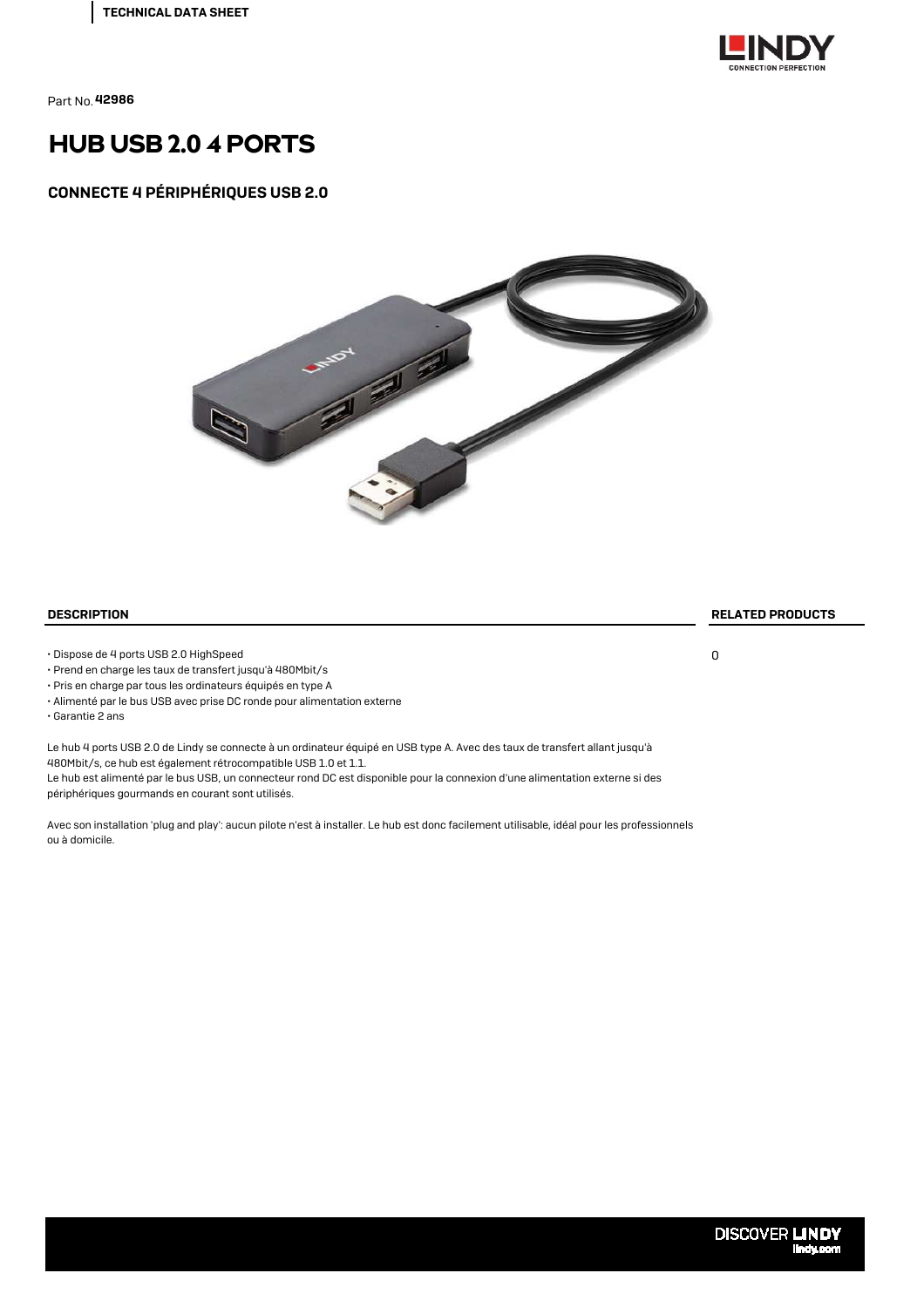

# HUB USB 2.0 4 PORTS

#### CONNECTE 4 PÉRIPHÉRIQUES USB 2.0



#### DESCRIPTION RELATED PRODUCTS

• Dispose de 4 ports USB 2.0 HighSpeed

- Prend en charge les taux de transfert jusqu'à 480Mbit/s
- Pris en charge par tous les ordinateurs équipés en type A
- Alimenté par le bus USB avec prise DC ronde pour alimentation externe
- Garantie 2 ans

Le hub 4 ports USB 2.0 de Lindy se connecte à un ordinateur équipé en USB type A. Avec des taux de transfert allant jusqu'à 480Mbit/s, ce hub est également rétrocompatible USB 1.0 et 1.1.

Le hub est alimenté par le bus USB, un connecteur rond DC est disponible pour la connexion d'une alimentation externe si des périphériques gourmands en courant sont utilisés.

Avec son installation 'plug and play': aucun pilote n'est à installer. Le hub est donc facilement utilisable, idéal pour les professionnels ou à domicile.